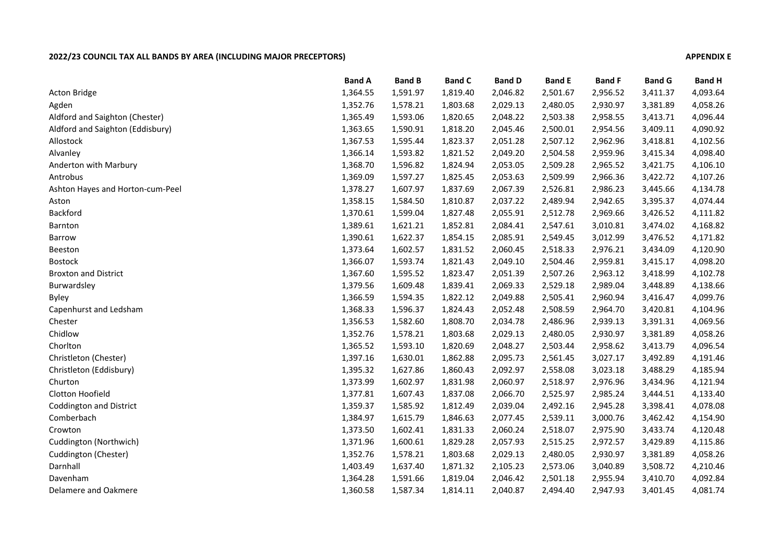## **2022/23 COUNCIL TAX ALL BANDS BY AREA (INCLUDING MAJOR PRECEPTORS) APPENDIX E**

|                                  | <b>Band A</b> | <b>Band B</b> | <b>Band C</b> | <b>Band D</b> | <b>Band E</b> | <b>Band F</b> | <b>Band G</b> | <b>Band H</b> |
|----------------------------------|---------------|---------------|---------------|---------------|---------------|---------------|---------------|---------------|
| <b>Acton Bridge</b>              | 1,364.55      | 1,591.97      | 1,819.40      | 2,046.82      | 2,501.67      | 2,956.52      | 3,411.37      | 4,093.64      |
| Agden                            | 1,352.76      | 1,578.21      | 1,803.68      | 2,029.13      | 2,480.05      | 2,930.97      | 3,381.89      | 4,058.26      |
| Aldford and Saighton (Chester)   | 1,365.49      | 1,593.06      | 1,820.65      | 2,048.22      | 2,503.38      | 2,958.55      | 3,413.71      | 4,096.44      |
| Aldford and Saighton (Eddisbury) | 1,363.65      | 1,590.91      | 1,818.20      | 2,045.46      | 2,500.01      | 2,954.56      | 3,409.11      | 4,090.92      |
| Allostock                        | 1,367.53      | 1,595.44      | 1,823.37      | 2,051.28      | 2,507.12      | 2,962.96      | 3,418.81      | 4,102.56      |
| Alvanley                         | 1,366.14      | 1,593.82      | 1,821.52      | 2,049.20      | 2,504.58      | 2,959.96      | 3,415.34      | 4,098.40      |
| Anderton with Marbury            | 1,368.70      | 1,596.82      | 1,824.94      | 2,053.05      | 2,509.28      | 2,965.52      | 3,421.75      | 4,106.10      |
| Antrobus                         | 1,369.09      | 1,597.27      | 1,825.45      | 2,053.63      | 2,509.99      | 2,966.36      | 3,422.72      | 4,107.26      |
| Ashton Hayes and Horton-cum-Peel | 1,378.27      | 1,607.97      | 1,837.69      | 2,067.39      | 2,526.81      | 2,986.23      | 3,445.66      | 4,134.78      |
| Aston                            | 1,358.15      | 1,584.50      | 1,810.87      | 2,037.22      | 2,489.94      | 2,942.65      | 3,395.37      | 4,074.44      |
| Backford                         | 1,370.61      | 1,599.04      | 1,827.48      | 2,055.91      | 2,512.78      | 2,969.66      | 3,426.52      | 4,111.82      |
| Barnton                          | 1,389.61      | 1,621.21      | 1,852.81      | 2,084.41      | 2,547.61      | 3,010.81      | 3,474.02      | 4,168.82      |
| <b>Barrow</b>                    | 1,390.61      | 1,622.37      | 1,854.15      | 2,085.91      | 2,549.45      | 3,012.99      | 3,476.52      | 4,171.82      |
| Beeston                          | 1,373.64      | 1,602.57      | 1,831.52      | 2,060.45      | 2,518.33      | 2,976.21      | 3,434.09      | 4,120.90      |
| <b>Bostock</b>                   | 1,366.07      | 1,593.74      | 1,821.43      | 2,049.10      | 2,504.46      | 2,959.81      | 3,415.17      | 4,098.20      |
| <b>Broxton and District</b>      | 1,367.60      | 1,595.52      | 1,823.47      | 2,051.39      | 2,507.26      | 2,963.12      | 3,418.99      | 4,102.78      |
| Burwardsley                      | 1,379.56      | 1,609.48      | 1,839.41      | 2,069.33      | 2,529.18      | 2,989.04      | 3,448.89      | 4,138.66      |
| <b>Byley</b>                     | 1,366.59      | 1,594.35      | 1,822.12      | 2,049.88      | 2,505.41      | 2,960.94      | 3,416.47      | 4,099.76      |
| Capenhurst and Ledsham           | 1,368.33      | 1,596.37      | 1,824.43      | 2,052.48      | 2,508.59      | 2,964.70      | 3,420.81      | 4,104.96      |
| Chester                          | 1,356.53      | 1,582.60      | 1,808.70      | 2,034.78      | 2,486.96      | 2,939.13      | 3,391.31      | 4,069.56      |
| Chidlow                          | 1,352.76      | 1,578.21      | 1,803.68      | 2,029.13      | 2,480.05      | 2,930.97      | 3,381.89      | 4,058.26      |
| Chorlton                         | 1,365.52      | 1,593.10      | 1,820.69      | 2,048.27      | 2,503.44      | 2,958.62      | 3,413.79      | 4,096.54      |
| Christleton (Chester)            | 1,397.16      | 1,630.01      | 1,862.88      | 2,095.73      | 2,561.45      | 3,027.17      | 3,492.89      | 4,191.46      |
| Christleton (Eddisbury)          | 1,395.32      | 1,627.86      | 1,860.43      | 2,092.97      | 2,558.08      | 3,023.18      | 3,488.29      | 4,185.94      |
| Churton                          | 1,373.99      | 1,602.97      | 1,831.98      | 2,060.97      | 2,518.97      | 2,976.96      | 3,434.96      | 4,121.94      |
| Clotton Hoofield                 | 1,377.81      | 1,607.43      | 1,837.08      | 2,066.70      | 2,525.97      | 2,985.24      | 3,444.51      | 4,133.40      |
| <b>Coddington and District</b>   | 1,359.37      | 1,585.92      | 1,812.49      | 2,039.04      | 2,492.16      | 2,945.28      | 3,398.41      | 4,078.08      |
| Comberbach                       | 1,384.97      | 1,615.79      | 1,846.63      | 2,077.45      | 2,539.11      | 3,000.76      | 3,462.42      | 4,154.90      |
| Crowton                          | 1,373.50      | 1,602.41      | 1,831.33      | 2,060.24      | 2,518.07      | 2,975.90      | 3,433.74      | 4,120.48      |
| Cuddington (Northwich)           | 1,371.96      | 1,600.61      | 1,829.28      | 2,057.93      | 2,515.25      | 2,972.57      | 3,429.89      | 4,115.86      |
| Cuddington (Chester)             | 1,352.76      | 1,578.21      | 1,803.68      | 2,029.13      | 2,480.05      | 2,930.97      | 3,381.89      | 4,058.26      |
| Darnhall                         | 1,403.49      | 1,637.40      | 1,871.32      | 2,105.23      | 2,573.06      | 3,040.89      | 3,508.72      | 4,210.46      |
| Davenham                         | 1,364.28      | 1,591.66      | 1,819.04      | 2,046.42      | 2,501.18      | 2,955.94      | 3,410.70      | 4,092.84      |
| Delamere and Oakmere             | 1,360.58      | 1,587.34      | 1,814.11      | 2,040.87      | 2,494.40      | 2,947.93      | 3,401.45      | 4,081.74      |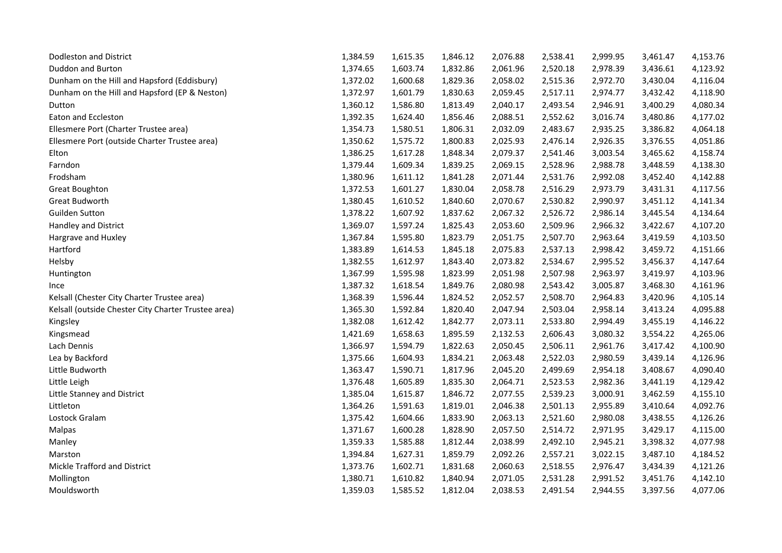| <b>Dodleston and District</b>                       | 1,384.59 | 1,615.35 | 1,846.12 | 2,076.88 | 2,538.41 | 2,999.95 | 3,461.47 | 4,153.76 |
|-----------------------------------------------------|----------|----------|----------|----------|----------|----------|----------|----------|
| Duddon and Burton                                   | 1,374.65 | 1,603.74 | 1,832.86 | 2,061.96 | 2,520.18 | 2,978.39 | 3,436.61 | 4,123.92 |
| Dunham on the Hill and Hapsford (Eddisbury)         | 1,372.02 | 1,600.68 | 1,829.36 | 2,058.02 | 2,515.36 | 2,972.70 | 3,430.04 | 4,116.04 |
| Dunham on the Hill and Hapsford (EP & Neston)       | 1,372.97 | 1,601.79 | 1,830.63 | 2,059.45 | 2,517.11 | 2,974.77 | 3,432.42 | 4,118.90 |
| Dutton                                              | 1,360.12 | 1,586.80 | 1,813.49 | 2,040.17 | 2,493.54 | 2,946.91 | 3,400.29 | 4,080.34 |
| Eaton and Eccleston                                 | 1,392.35 | 1,624.40 | 1,856.46 | 2,088.51 | 2,552.62 | 3,016.74 | 3,480.86 | 4,177.02 |
| Ellesmere Port (Charter Trustee area)               | 1,354.73 | 1,580.51 | 1,806.31 | 2,032.09 | 2,483.67 | 2,935.25 | 3,386.82 | 4,064.18 |
| Ellesmere Port (outside Charter Trustee area)       | 1,350.62 | 1,575.72 | 1,800.83 | 2,025.93 | 2,476.14 | 2,926.35 | 3,376.55 | 4,051.86 |
| Elton                                               | 1,386.25 | 1,617.28 | 1,848.34 | 2,079.37 | 2,541.46 | 3,003.54 | 3,465.62 | 4,158.74 |
| Farndon                                             | 1,379.44 | 1,609.34 | 1,839.25 | 2,069.15 | 2,528.96 | 2,988.78 | 3,448.59 | 4,138.30 |
| Frodsham                                            | 1,380.96 | 1,611.12 | 1,841.28 | 2,071.44 | 2,531.76 | 2,992.08 | 3,452.40 | 4,142.88 |
| Great Boughton                                      | 1,372.53 | 1,601.27 | 1,830.04 | 2,058.78 | 2,516.29 | 2,973.79 | 3,431.31 | 4,117.56 |
| Great Budworth                                      | 1,380.45 | 1,610.52 | 1,840.60 | 2,070.67 | 2,530.82 | 2,990.97 | 3,451.12 | 4,141.34 |
| <b>Guilden Sutton</b>                               | 1,378.22 | 1,607.92 | 1,837.62 | 2,067.32 | 2,526.72 | 2,986.14 | 3,445.54 | 4,134.64 |
| Handley and District                                | 1,369.07 | 1,597.24 | 1,825.43 | 2,053.60 | 2,509.96 | 2,966.32 | 3,422.67 | 4,107.20 |
| Hargrave and Huxley                                 | 1,367.84 | 1,595.80 | 1,823.79 | 2,051.75 | 2,507.70 | 2,963.64 | 3,419.59 | 4,103.50 |
| Hartford                                            | 1,383.89 | 1,614.53 | 1,845.18 | 2,075.83 | 2,537.13 | 2,998.42 | 3,459.72 | 4,151.66 |
| Helsby                                              | 1,382.55 | 1,612.97 | 1,843.40 | 2,073.82 | 2,534.67 | 2,995.52 | 3,456.37 | 4,147.64 |
| Huntington                                          | 1,367.99 | 1,595.98 | 1,823.99 | 2,051.98 | 2,507.98 | 2,963.97 | 3,419.97 | 4,103.96 |
| Ince                                                | 1,387.32 | 1,618.54 | 1,849.76 | 2,080.98 | 2,543.42 | 3,005.87 | 3,468.30 | 4,161.96 |
| Kelsall (Chester City Charter Trustee area)         | 1,368.39 | 1,596.44 | 1,824.52 | 2,052.57 | 2,508.70 | 2,964.83 | 3,420.96 | 4,105.14 |
| Kelsall (outside Chester City Charter Trustee area) | 1,365.30 | 1,592.84 | 1,820.40 | 2,047.94 | 2,503.04 | 2,958.14 | 3,413.24 | 4,095.88 |
| Kingsley                                            | 1,382.08 | 1,612.42 | 1,842.77 | 2,073.11 | 2,533.80 | 2,994.49 | 3,455.19 | 4,146.22 |
| Kingsmead                                           | 1,421.69 | 1,658.63 | 1,895.59 | 2,132.53 | 2,606.43 | 3,080.32 | 3,554.22 | 4,265.06 |
| Lach Dennis                                         | 1,366.97 | 1,594.79 | 1,822.63 | 2,050.45 | 2,506.11 | 2,961.76 | 3,417.42 | 4,100.90 |
| Lea by Backford                                     | 1,375.66 | 1,604.93 | 1,834.21 | 2,063.48 | 2,522.03 | 2,980.59 | 3,439.14 | 4,126.96 |
| Little Budworth                                     | 1,363.47 | 1,590.71 | 1,817.96 | 2,045.20 | 2,499.69 | 2,954.18 | 3,408.67 | 4,090.40 |
| Little Leigh                                        | 1,376.48 | 1,605.89 | 1,835.30 | 2,064.71 | 2,523.53 | 2,982.36 | 3,441.19 | 4,129.42 |
| Little Stanney and District                         | 1,385.04 | 1,615.87 | 1,846.72 | 2,077.55 | 2,539.23 | 3,000.91 | 3,462.59 | 4,155.10 |
| Littleton                                           | 1,364.26 | 1,591.63 | 1,819.01 | 2,046.38 | 2,501.13 | 2,955.89 | 3,410.64 | 4,092.76 |
| Lostock Gralam                                      | 1,375.42 | 1,604.66 | 1,833.90 | 2,063.13 | 2,521.60 | 2,980.08 | 3,438.55 | 4,126.26 |
| Malpas                                              | 1,371.67 | 1,600.28 | 1,828.90 | 2,057.50 | 2,514.72 | 2,971.95 | 3,429.17 | 4,115.00 |
| Manley                                              | 1,359.33 | 1,585.88 | 1,812.44 | 2,038.99 | 2,492.10 | 2,945.21 | 3,398.32 | 4,077.98 |
| Marston                                             | 1,394.84 | 1,627.31 | 1,859.79 | 2,092.26 | 2,557.21 | 3,022.15 | 3,487.10 | 4,184.52 |
| Mickle Trafford and District                        | 1,373.76 | 1,602.71 | 1,831.68 | 2,060.63 | 2,518.55 | 2,976.47 | 3,434.39 | 4,121.26 |
| Mollington                                          | 1,380.71 | 1,610.82 | 1,840.94 | 2,071.05 | 2,531.28 | 2,991.52 | 3,451.76 | 4,142.10 |
| Mouldsworth                                         | 1,359.03 | 1,585.52 | 1,812.04 | 2,038.53 | 2,491.54 | 2,944.55 | 3,397.56 | 4,077.06 |